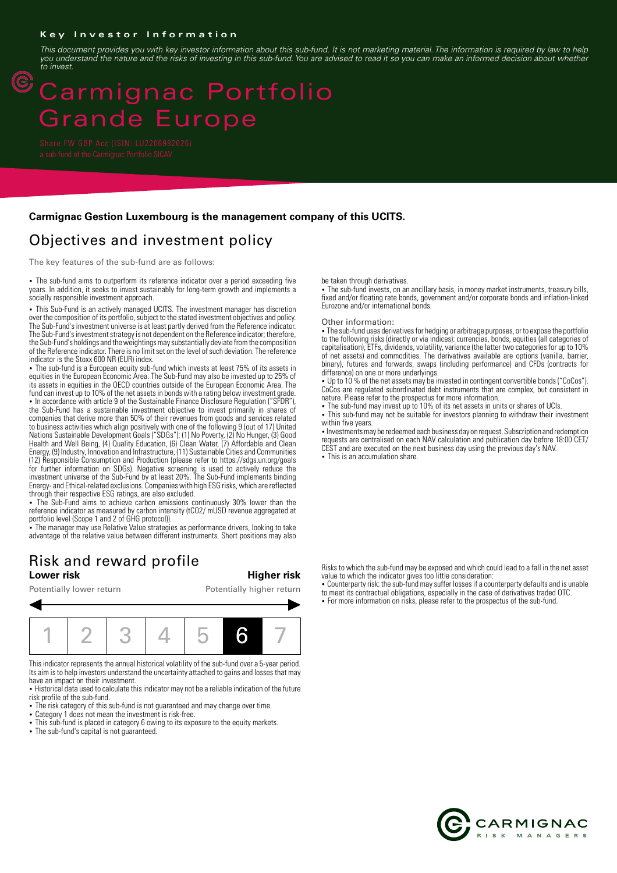### **Key Investor Information**

*This document provides you with key investor information about this sub-fund. It is not marketing material. The information is required by law to help you understand the nature and the risks of investing in this sub-fund. You are advised to read it so you can make an informed decision about whether to invest.*

# Carmignac Portfolio Grande Europe

 $\circled{\mathbb{C}}$ 

### **Carmignac Gestion Luxembourg is the management company of this UCITS.**

## Objectives and investment policy

The key features of the sub-fund are as follows:

• The sub-fund aims to outperform its reference indicator over a period exceeding five years. In addition, it seeks to invest sustainably for long-term growth and implements a socially responsible investment approach.

• This Sub-Fund is an actively managed UCITS. The investment manager has discretion over the composition of its portfolio, subject to the stated investment objectives and policy. The Sub-Fund's investment universe is at least partly derived from the Reference indicator. The Sub-Fund's investment strategy is not dependent on the Reference indicator; therefore, the Sub-Fund's holdings and the weightings may substantially deviate from the composition of the Reference indicator. There is no limit set on the level of such deviation. The reference indicator is the Stoxx 600 NR (EUR) index.

• The sub-fund is a European equity sub-fund which invests at least 75% of its assets in equities in the European Economic Area. The Sub-Fund may also be invested up to 25% of its assets in equities in the OECD countries outside of the European Economic Area. The fund can invest up to 10% of the net assets in bonds with a rating below investment grade. • In accordance with article 9 of the Sustainable Finance Disclosure Regulation ("SFDR"), the Sub-Fund has a sustainable investment objective to invest primarily in shares of companies that derive more than 50% of their revenues from goods and services related to business activities which align positively with one of the following 9 (out of 17) United Nations Sustainable Development Goals ("SDGs"): (1) No Poverty, (2) No Hunger, (3) Good Health and Well Being, (4) Quality Education, (6) Clean Water, (7) Affordable and Clean Energy, (9) Industry, Innovation and Infrastructure, (11) Sustainable Cities and Communities (12) Responsible Consumption and Production (please refer to https://sdgs.un.org/goals for further information on SDGs). Negative screening is used to actively reduce the

investment universe of the Sub-Fund by at least 20%. The Sub-Fund implements binding Energy- and Ethical-related exclusions. Companies with high ESG risks, which are reflected through their respective ESG ratings, are also excluded.

• The Sub-Fund aims to achieve carbon emissions continuously 30% lower than the reference indicator as measured by carbon intensity (tCO2/ mUSD revenue aggregated at portfolio level (Scope 1 and 2 of GHG protocol)). 2 The manager may use Relative Value strategies as performance drivers, looking to take

advantage of the relative value between different instruments. Short positions may also

## Risk and reward profile<br>Lower risk

**Lower risk Higher risk**

Potentially lower return Potentially higher return



This indicator represents the annual historical volatility of the sub-fund over a 5-year period. Its aim is to help investors understand the uncertainty attached to gains and losses that may have an impact on their investment.

• Historical data used to calculate this indicator may not be a reliable indication of the future risk profile of the sub-fund.

• The risk category of this sub-fund is not guaranteed and may change over time.

- Category 1 does not mean the investment is risk-free.
- This sub-fund is placed in category 6 owing to its exposure to the equity markets.
- The sub-fund's capital is not guaranteed.

be taken through derivatives.

• The sub-fund invests, on an ancillary basis, in money market instruments, treasury bills, fixed and/or floating rate bonds, government and/or corporate bonds and inflation-linked Eurozone and/or international bonds.

#### Other information:

2 The sub-fund uses derivatives for hedging or arbitrage purposes, or to expose the portfolio to the following risks (directly or via indices): currencies, bonds, equities (all categories of capitalisation), ETFs, dividends, volatility, variance (the latter two categories for up to 10% of net assets) and commodities. The derivatives available are options (vanilla, barrier, binary), futures and forwards, swaps (including performance) and CFDs (contracts for difference) on one or more underlyings.

2 Up to 10 % of the net assets may be invested in contingent convertible bonds ("CoCos"). CoCos are regulated subordinated debt instruments that are complex, but consistent in nature. Please refer to the prospectus for more information.

• The sub-fund may invest up to 10% of its net assets in units or shares of UCIs.

• This sub-fund may not be suitable for investors planning to withdraw their investment within five years.

• Investments may be redeemed each business day on request. Subscription and redemption requests are centralised on each NAV calculation and publication day before 18:00 CET/ CEST and are executed on the next business day using the previous day's NAV.

• This is an accumulation share.

Risks to which the sub-fund may be exposed and which could lead to a fall in the net asset value to which the indicator gives too little consideration:

• Counterparty risk: the sub-fund may suffer losses if a counterparty defaults and is unable to meet its contractual obligations, especially in the case of derivatives traded OTC.

2 For more information on risks, please refer to the prospectus of the sub-fund.